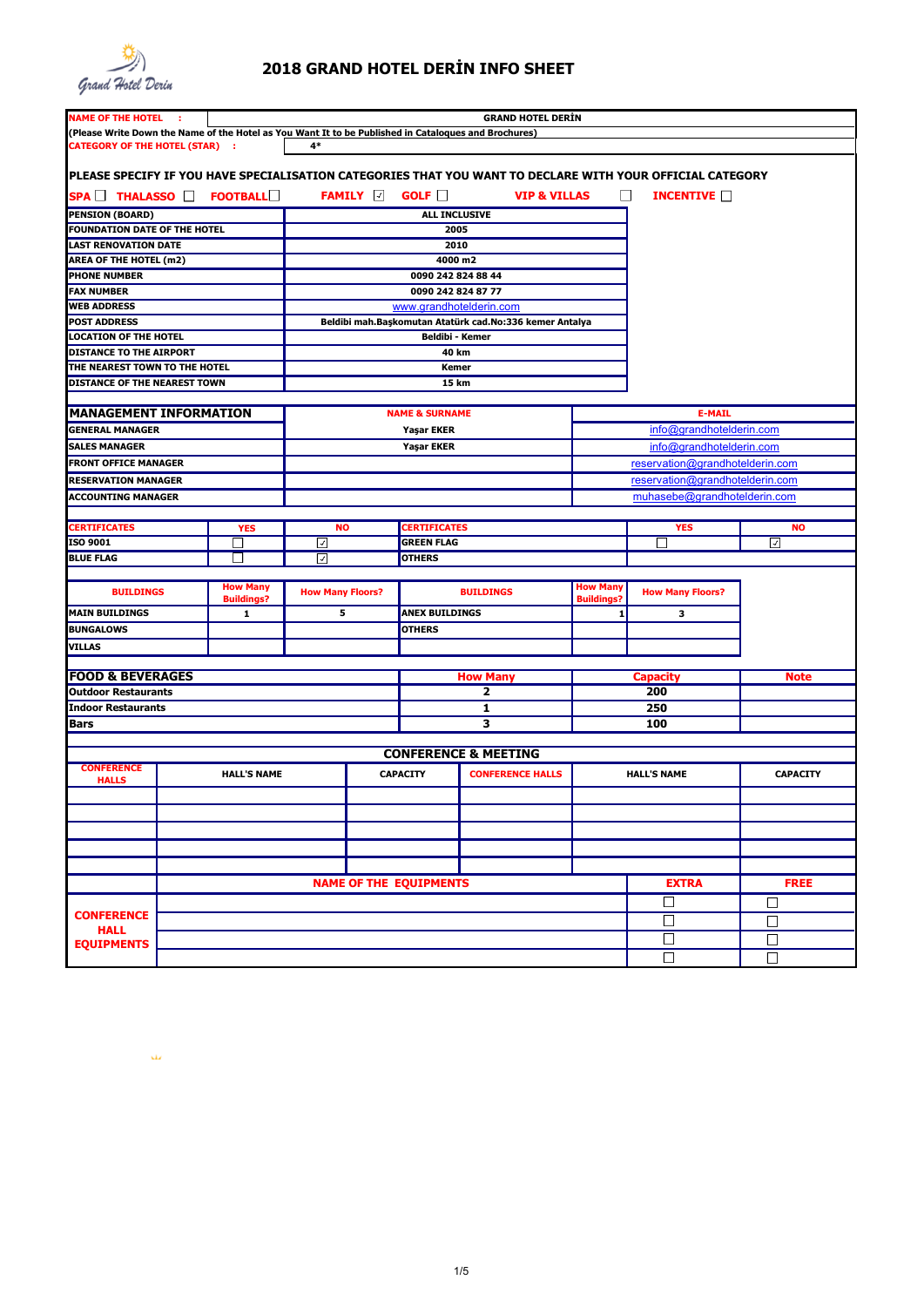

 $\Delta\omega$ 

## **2018 GRAND HOTEL DERİN INFO SHEET**

| <b>NAME OF THE HOTEL :</b>                                                                           |  |                    |                         |                                 | <b>GRAND HOTEL DERIN</b>                                                                                  |                   |                                                                    |                 |  |  |
|------------------------------------------------------------------------------------------------------|--|--------------------|-------------------------|---------------------------------|-----------------------------------------------------------------------------------------------------------|-------------------|--------------------------------------------------------------------|-----------------|--|--|
| (Please Write Down the Name of the Hotel as You Want It to be Published in Cataloques and Brochures) |  |                    |                         |                                 |                                                                                                           |                   |                                                                    |                 |  |  |
| <b>CATEGORY OF THE HOTEL (STAR) :</b>                                                                |  |                    | $4*$                    |                                 |                                                                                                           |                   |                                                                    |                 |  |  |
|                                                                                                      |  |                    |                         |                                 | PLEASE SPECIFY IF YOU HAVE SPECIALISATION CATEGORIES THAT YOU WANT TO DECLARE WITH YOUR OFFICIAL CATEGORY |                   |                                                                    |                 |  |  |
| SPA THALASSO <b>FOOTBALL</b>                                                                         |  |                    |                         | FAMILY <b>a</b> GOLF <b>COL</b> | <b>VIP &amp; VILLAS</b>                                                                                   | ⊔                 | INCENTIVE <b>T</b>                                                 |                 |  |  |
| <b>PENSION (BOARD)</b>                                                                               |  |                    |                         | ALL INCLUSIVE                   |                                                                                                           |                   |                                                                    |                 |  |  |
| <b>FOUNDATION DATE OF THE HOTEL</b>                                                                  |  |                    |                         | 2005                            |                                                                                                           |                   |                                                                    |                 |  |  |
| <b>LAST RENOVATION DATE</b>                                                                          |  |                    |                         | 2010                            |                                                                                                           |                   |                                                                    |                 |  |  |
| <b>AREA OF THE HOTEL (m2)</b>                                                                        |  |                    |                         | 4000 m2                         |                                                                                                           |                   |                                                                    |                 |  |  |
| <b>PHONE NUMBER</b>                                                                                  |  |                    |                         | 0090 242 824 88 44              |                                                                                                           |                   |                                                                    |                 |  |  |
| <b>FAX NUMBER</b>                                                                                    |  |                    |                         | 0090 242 824 87 77              |                                                                                                           |                   |                                                                    |                 |  |  |
| <b>WEB ADDRESS</b>                                                                                   |  |                    |                         |                                 | www.grandhotelderin.com                                                                                   |                   |                                                                    |                 |  |  |
| <b>POST ADDRESS</b>                                                                                  |  |                    |                         |                                 | Beldibi mah.Başkomutan Atatürk cad.No:336 kemer Antalya                                                   |                   |                                                                    |                 |  |  |
| <b>LOCATION OF THE HOTEL</b>                                                                         |  |                    |                         | <b>Beldibi - Kemer</b>          |                                                                                                           |                   |                                                                    |                 |  |  |
| DISTANCE TO THE AIRPORT                                                                              |  |                    |                         | 40 km                           |                                                                                                           |                   |                                                                    |                 |  |  |
| THE NEAREST TOWN TO THE HOTEL                                                                        |  |                    |                         | Kemer                           |                                                                                                           |                   |                                                                    |                 |  |  |
| <b>DISTANCE OF THE NEAREST TOWN</b>                                                                  |  |                    |                         | 15 km                           |                                                                                                           |                   |                                                                    |                 |  |  |
|                                                                                                      |  |                    |                         |                                 |                                                                                                           |                   |                                                                    |                 |  |  |
| <b>MANAGEMENT INFORMATION</b>                                                                        |  |                    |                         | <b>NAME &amp; SURNAME</b>       |                                                                                                           |                   | <b>E-MAIL</b>                                                      |                 |  |  |
| <b>GENERAL MANAGER</b>                                                                               |  |                    |                         | <b>Yaşar EKER</b>               |                                                                                                           |                   | info@grandhotelderin.com                                           |                 |  |  |
| <b>SALES MANAGER</b>                                                                                 |  |                    |                         | <b>Yaşar EKER</b>               |                                                                                                           |                   | info@grandhotelderin.com                                           |                 |  |  |
| <b>FRONT OFFICE MANAGER</b>                                                                          |  |                    |                         |                                 |                                                                                                           |                   |                                                                    |                 |  |  |
| <b>RESERVATION MANAGER</b>                                                                           |  |                    |                         |                                 |                                                                                                           |                   | reservation@grandhotelderin.com<br>reservation@grandhotelderin.com |                 |  |  |
|                                                                                                      |  |                    |                         |                                 |                                                                                                           |                   |                                                                    |                 |  |  |
| <b>ACCOUNTING MANAGER</b>                                                                            |  |                    |                         |                                 |                                                                                                           |                   | muhasebe@grandhotelderin.com                                       |                 |  |  |
|                                                                                                      |  |                    |                         |                                 |                                                                                                           |                   |                                                                    |                 |  |  |
| <b>CERTIFICATES</b>                                                                                  |  | <b>YES</b>         | <b>NO</b>               | <b>CERTIFICATES</b>             |                                                                                                           |                   | <b>YES</b>                                                         | <b>NO</b>       |  |  |
| ISO 9001                                                                                             |  | ┓                  | ☑                       | <b>GREEN FLAG</b>               |                                                                                                           |                   | $\blacksquare$                                                     | ☑               |  |  |
| <b>BLUE FLAG</b>                                                                                     |  | $\sim$             | ☑                       | <b>OTHERS</b>                   |                                                                                                           |                   |                                                                    |                 |  |  |
|                                                                                                      |  | <b>How Many</b>    |                         |                                 |                                                                                                           | <b>How Many</b>   |                                                                    |                 |  |  |
| <b>BUILDINGS</b>                                                                                     |  | <b>Buildings?</b>  | <b>How Many Floors?</b> |                                 | <b>BUILDINGS</b>                                                                                          | <b>Buildings?</b> | <b>How Many Floors?</b>                                            |                 |  |  |
| <b>MAIN BUILDINGS</b>                                                                                |  | 1                  | 5                       | <b>ANEX BUILDINGS</b>           |                                                                                                           | 1                 | з                                                                  |                 |  |  |
|                                                                                                      |  |                    |                         |                                 |                                                                                                           |                   |                                                                    |                 |  |  |
|                                                                                                      |  |                    |                         | <b>OTHERS</b>                   |                                                                                                           |                   |                                                                    |                 |  |  |
| <b>BUNGALOWS</b>                                                                                     |  |                    |                         |                                 |                                                                                                           |                   |                                                                    |                 |  |  |
| <b>VILLAS</b>                                                                                        |  |                    |                         |                                 |                                                                                                           |                   |                                                                    |                 |  |  |
|                                                                                                      |  |                    |                         |                                 |                                                                                                           |                   |                                                                    |                 |  |  |
| <b>FOOD &amp; BEVERAGES</b><br><b>Outdoor Restaurants</b>                                            |  |                    |                         |                                 | <b>How Many</b><br>2                                                                                      |                   | <b>Capacity</b><br>200                                             | <b>Note</b>     |  |  |
| <b>Indoor Restaurants</b>                                                                            |  |                    |                         |                                 | 1                                                                                                         |                   | 250                                                                |                 |  |  |
|                                                                                                      |  |                    |                         |                                 |                                                                                                           |                   |                                                                    |                 |  |  |
| <b>Bars</b>                                                                                          |  |                    |                         |                                 | 3                                                                                                         |                   | 100                                                                |                 |  |  |
|                                                                                                      |  |                    |                         |                                 | <b>CONFERENCE &amp; MEETING</b>                                                                           |                   |                                                                    |                 |  |  |
| <b>CONFERENCE</b>                                                                                    |  |                    |                         |                                 |                                                                                                           |                   |                                                                    |                 |  |  |
| <b>HALLS</b>                                                                                         |  | <b>HALL'S NAME</b> |                         | <b>CAPACITY</b>                 | <b>CONFERENCE HALLS</b>                                                                                   |                   | <b>HALL'S NAME</b>                                                 | <b>CAPACITY</b> |  |  |
|                                                                                                      |  |                    |                         |                                 |                                                                                                           |                   |                                                                    |                 |  |  |
|                                                                                                      |  |                    |                         |                                 |                                                                                                           |                   |                                                                    |                 |  |  |
|                                                                                                      |  |                    |                         |                                 |                                                                                                           |                   |                                                                    |                 |  |  |
|                                                                                                      |  |                    |                         |                                 |                                                                                                           |                   |                                                                    |                 |  |  |
|                                                                                                      |  |                    |                         |                                 |                                                                                                           |                   |                                                                    |                 |  |  |
|                                                                                                      |  |                    |                         | <b>NAME OF THE EQUIPMENTS</b>   |                                                                                                           |                   | <b>EXTRA</b>                                                       | <b>FREE</b>     |  |  |
|                                                                                                      |  |                    |                         |                                 |                                                                                                           |                   | ⊔                                                                  | □               |  |  |
| <b>CONFERENCE</b>                                                                                    |  |                    |                         |                                 |                                                                                                           |                   |                                                                    |                 |  |  |
| <b>HALL</b>                                                                                          |  |                    |                         |                                 |                                                                                                           |                   | □                                                                  | $\Box$          |  |  |
| <b>EQUIPMENTS</b>                                                                                    |  |                    |                         |                                 |                                                                                                           |                   | □<br>$\Box$                                                        | □<br>$\Box$     |  |  |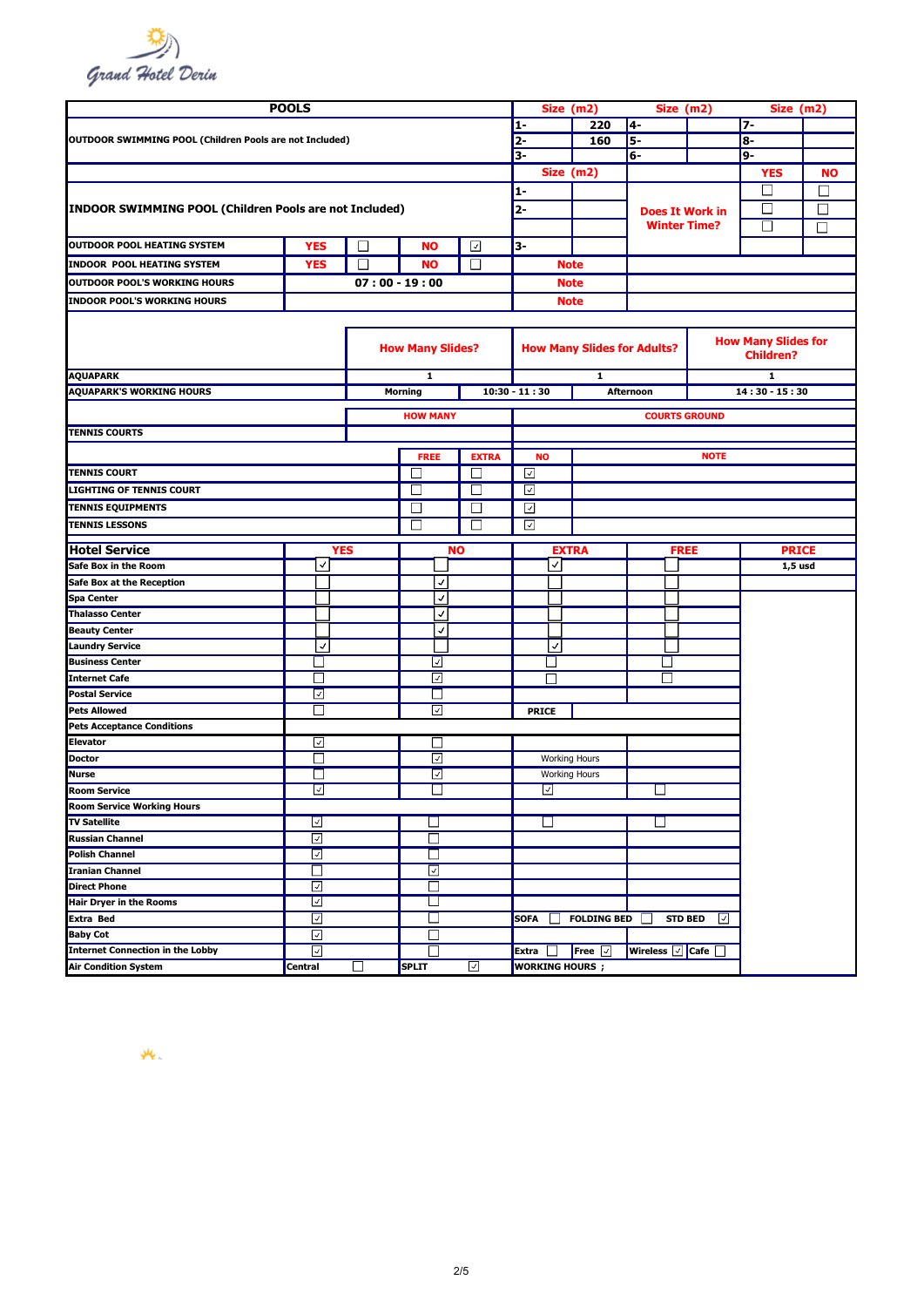

|                                                                        | <b>POOLS</b>             |                 |                                          |              | 1-              |                      | Size (m2)                                             | Size (m2)                                               |                     | Size (m2)                  |           |
|------------------------------------------------------------------------|--------------------------|-----------------|------------------------------------------|--------------|-----------------|----------------------|-------------------------------------------------------|---------------------------------------------------------|---------------------|----------------------------|-----------|
|                                                                        |                          |                 |                                          |              |                 |                      | 220                                                   | 4-                                                      |                     | $7-$                       |           |
| <b>OUTDOOR SWIMMING POOL (Children Pools are not Included)</b>         |                          |                 |                                          | $2-$         |                 | 160                  | 5-                                                    |                                                         | 8-                  |                            |           |
|                                                                        |                          |                 |                                          |              | 3-              |                      |                                                       | $6-$                                                    |                     | 9-                         |           |
|                                                                        |                          |                 |                                          |              |                 |                      | Size (m2)                                             |                                                         |                     | <b>YES</b>                 | <b>NO</b> |
|                                                                        |                          |                 |                                          |              | $1-$            |                      |                                                       |                                                         |                     |                            | П         |
| INDOOR SWIMMING POOL (Children Pools are not Included)                 |                          |                 |                                          |              | 2-              |                      |                                                       | <b>Does It Work in</b>                                  |                     |                            | П         |
|                                                                        |                          |                 |                                          |              |                 |                      |                                                       | <b>Winter Time?</b>                                     |                     | П                          | П         |
| <b>OUTDOOR POOL HEATING SYSTEM</b>                                     | <b>YES</b>               | П               | <b>NO</b>                                | 3-           |                 |                      |                                                       |                                                         |                     |                            |           |
|                                                                        |                          |                 |                                          | ⊡            |                 | <b>Note</b>          |                                                       |                                                         |                     |                            |           |
| <b>INDOOR POOL HEATING SYSTEM</b>                                      | <b>YES</b>               | П               | <b>NO</b>                                | $\Box$       |                 |                      |                                                       |                                                         |                     |                            |           |
| <b>OUTDOOR POOL'S WORKING HOURS</b>                                    |                          | $07:00 - 19:00$ |                                          |              |                 |                      | <b>Note</b>                                           |                                                         |                     |                            |           |
| <b>INDOOR POOL'S WORKING HOURS</b>                                     |                          |                 |                                          |              |                 |                      | <b>Note</b>                                           |                                                         |                     |                            |           |
|                                                                        |                          |                 |                                          |              |                 |                      |                                                       |                                                         |                     |                            |           |
|                                                                        |                          |                 |                                          |              |                 |                      |                                                       |                                                         |                     | <b>How Many Slides for</b> |           |
|                                                                        |                          |                 | <b>How Many Slides?</b>                  |              |                 |                      |                                                       | <b>How Many Slides for Adults?</b>                      |                     | <b>Children?</b>           |           |
|                                                                        |                          |                 |                                          |              |                 |                      |                                                       |                                                         |                     |                            |           |
| <b>AQUAPARK</b>                                                        |                          |                 | 1                                        |              |                 |                      | ${\bf 1}$                                             |                                                         |                     | 1                          |           |
| <b>AQUAPARK'S WORKING HOURS</b>                                        |                          |                 | <b>Morning</b>                           |              | $10:30 - 11:30$ |                      |                                                       | <b>Afternoon</b>                                        |                     | $14:30 - 15:30$            |           |
|                                                                        |                          |                 | <b>HOW MANY</b>                          |              |                 |                      |                                                       | <b>COURTS GROUND</b>                                    |                     |                            |           |
| <b>TENNIS COURTS</b>                                                   |                          |                 |                                          |              |                 |                      |                                                       |                                                         |                     |                            |           |
|                                                                        |                          |                 | <b>FREE</b>                              | <b>EXTRA</b> |                 | <b>NO</b>            |                                                       |                                                         | <b>NOTE</b>         |                            |           |
| <b>TENNIS COURT</b>                                                    |                          |                 |                                          | П            | ☑               |                      |                                                       |                                                         |                     |                            |           |
| <b>LIGHTING OF TENNIS COURT</b>                                        |                          |                 | $\vert \ \ \vert$                        | $\mathbf{L}$ | $\sqrt{2}$      |                      |                                                       |                                                         |                     |                            |           |
| <b>TENNIS EQUIPMENTS</b>                                               |                          |                 | L                                        |              | ⊡               |                      |                                                       |                                                         |                     |                            |           |
| <b>TENNIS LESSONS</b>                                                  |                          |                 | П                                        |              | $\checkmark$    |                      |                                                       |                                                         |                     |                            |           |
|                                                                        |                          |                 |                                          |              |                 |                      |                                                       |                                                         |                     |                            |           |
| <b>Hotel Service</b>                                                   |                          | YES             | <b>NO</b><br><b>EXTRA</b><br><b>FREE</b> |              |                 |                      |                                                       | <b>PRICE</b>                                            |                     |                            |           |
| Safe Box in the Room                                                   | ٨                        |                 |                                          |              |                 | √∣                   |                                                       |                                                         |                     | $1,5$ usd                  |           |
| Safe Box at the Reception                                              |                          |                 | √                                        |              |                 |                      |                                                       |                                                         |                     |                            |           |
| <b>Spa Center</b>                                                      |                          |                 | J                                        |              |                 |                      |                                                       |                                                         |                     |                            |           |
| <b>Thalasso Center</b>                                                 |                          |                 | √                                        |              |                 |                      |                                                       |                                                         |                     |                            |           |
| <b>Beauty Center</b>                                                   |                          |                 | √                                        |              |                 |                      |                                                       |                                                         |                     |                            |           |
| <b>Laundry Service</b>                                                 | V                        |                 |                                          |              |                 | $\checkmark$         |                                                       |                                                         |                     |                            |           |
| <b>Business Center</b>                                                 | ┚                        |                 | ⊻                                        |              |                 | ┚                    |                                                       | $\mathbf{I}$                                            |                     |                            |           |
| <b>Internet Cafe</b>                                                   | $\overline{\phantom{a}}$ |                 | ☑                                        |              |                 |                      |                                                       |                                                         |                     |                            |           |
| <b>Postal Service</b>                                                  | ☑                        |                 | ⊔                                        |              |                 |                      |                                                       |                                                         |                     |                            |           |
| <b>Pets Allowed</b>                                                    | □                        |                 | ☑                                        |              |                 | <b>PRICE</b>         |                                                       |                                                         |                     |                            |           |
| <b>Pets Acceptance Conditions</b>                                      |                          |                 |                                          |              |                 |                      |                                                       |                                                         |                     |                            |           |
| <b>Elevator</b>                                                        | ⊡                        |                 | П                                        |              |                 |                      |                                                       |                                                         |                     |                            |           |
| <b>Doctor</b>                                                          | $\blacksquare$           |                 | ⊡                                        |              |                 |                      | <b>Working Hours</b>                                  |                                                         |                     |                            |           |
| <b>Nurse</b>                                                           | П                        |                 | ⊡                                        |              |                 | <b>Working Hours</b> |                                                       |                                                         |                     |                            |           |
| <b>Room Service</b>                                                    | ⊻                        |                 | ⊔                                        |              |                 | ⊻                    |                                                       | ப                                                       |                     |                            |           |
| <b>Room Service Working Hours</b>                                      |                          |                 |                                          |              |                 |                      |                                                       |                                                         |                     |                            |           |
| <b>TV Satellite</b>                                                    | ⊻                        |                 |                                          |              |                 | ⊔                    |                                                       | $\overline{\phantom{a}}$                                |                     |                            |           |
| <b>Russian Channel</b>                                                 | ☑                        |                 | $\mathsf{L}$                             |              |                 |                      |                                                       |                                                         |                     |                            |           |
| <b>Polish Channel</b>                                                  | $\overline{\mathbf{z}}$  |                 |                                          |              |                 |                      |                                                       |                                                         |                     |                            |           |
| <b>Iranian Channel</b>                                                 | □                        |                 | ☑                                        |              |                 |                      |                                                       |                                                         |                     |                            |           |
| <b>Direct Phone</b>                                                    | ☑                        |                 | $\mathsf{L}$                             |              |                 |                      |                                                       |                                                         |                     |                            |           |
| <b>Hair Dryer in the Rooms</b>                                         | ⊡                        |                 | - 1                                      |              |                 |                      |                                                       |                                                         |                     |                            |           |
| <b>Extra Bed</b>                                                       | ☑                        |                 |                                          |              | <b>SOFA</b>     |                      | <b>FOLDING BED</b>                                    | $\mathcal{L}$                                           | <b>STD BED</b><br>⊡ |                            |           |
| <b>Baby Cot</b>                                                        |                          |                 |                                          |              |                 |                      |                                                       |                                                         |                     |                            |           |
|                                                                        | ☑                        |                 |                                          |              |                 |                      |                                                       |                                                         |                     |                            |           |
| <b>Internet Connection in the Lobby</b><br><b>Air Condition System</b> | $\sqrt{2}$<br>Central    | $\Box$          | ×.<br><b>SPLIT</b>                       | ⊡            | Extra $\Box$    |                      | Free $\boxed{\triangledown}$<br><b>WORKING HOURS;</b> | Wireless $\boxed{\mathbb{Z}}$ Cafe $\boxed{\mathbb{Z}}$ |                     |                            |           |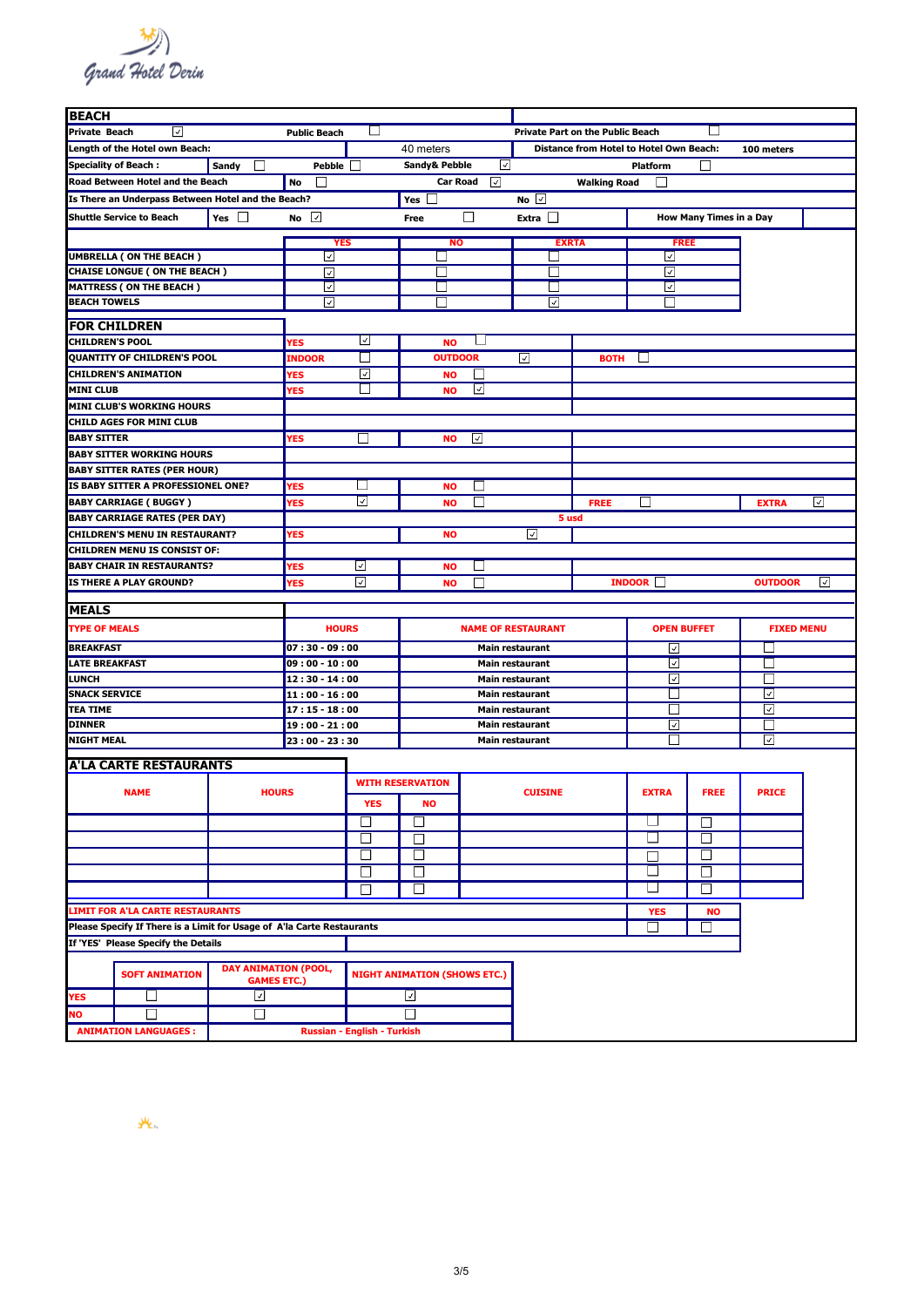

| <b>BEACH</b>                                                           |                             |                             |                       |                             |                                     |                                         |                        |                     |                                                |                         |                   |                          |  |  |
|------------------------------------------------------------------------|-----------------------------|-----------------------------|-----------------------|-----------------------------|-------------------------------------|-----------------------------------------|------------------------|---------------------|------------------------------------------------|-------------------------|-------------------|--------------------------|--|--|
| <b>Private Beach</b><br>⊡<br><b>Public Beach</b>                       |                             |                             |                       |                             |                                     | <b>Private Part on the Public Beach</b> |                        |                     |                                                |                         |                   |                          |  |  |
| Length of the Hotel own Beach:                                         |                             |                             |                       |                             | 40 meters                           |                                         |                        |                     | <b>Distance from Hotel to Hotel Own Beach:</b> |                         | 100 meters        |                          |  |  |
| <b>Speciality of Beach:</b>                                            |                             | Sandy<br>$\mathbf{L}$       | Pebble                |                             | Sandy& Pebble                       | ☑                                       |                        |                     | <b>Platform</b>                                |                         |                   |                          |  |  |
| Road Between Hotel and the Beach                                       |                             |                             | No<br>$\mathsf{L}$    |                             | <b>Car Road</b>                     | ☑                                       |                        | <b>Walking Road</b> |                                                |                         |                   |                          |  |  |
|                                                                        |                             |                             |                       |                             |                                     |                                         | No $\Box$              |                     |                                                |                         |                   |                          |  |  |
| Is There an Underpass Between Hotel and the Beach?                     |                             |                             |                       |                             | Yes $\mathrel{\sqcup}$              |                                         |                        |                     |                                                |                         |                   |                          |  |  |
| <b>Shuttle Service to Beach</b>                                        |                             | Yes $\Box$                  | No $\vert \vee \vert$ |                             | Free                                | ⊔                                       | Extra                  |                     |                                                | How Many Times in a Day |                   |                          |  |  |
|                                                                        |                             |                             | <b>YES</b>            |                             | <b>NO</b>                           |                                         | <b>EXRTA</b>           |                     | <b>FREE</b>                                    |                         |                   |                          |  |  |
| <b>UMBRELLA ( ON THE BEACH )</b>                                       |                             |                             | ☑                     |                             |                                     |                                         | - 1                    |                     | ⊡                                              |                         |                   |                          |  |  |
| <b>CHAISE LONGUE ( ON THE BEACH )</b>                                  |                             |                             | ☑                     |                             |                                     |                                         |                        |                     | ⊡                                              |                         |                   |                          |  |  |
| <b>MATTRESS ( ON THE BEACH )</b>                                       |                             |                             | М                     |                             |                                     |                                         |                        |                     | ⊡                                              |                         |                   |                          |  |  |
| <b>BEACH TOWELS</b>                                                    |                             |                             | ☑                     |                             |                                     |                                         | ☑                      |                     |                                                |                         |                   |                          |  |  |
|                                                                        |                             |                             |                       |                             |                                     |                                         |                        |                     |                                                |                         |                   |                          |  |  |
| <b>FOR CHILDREN</b>                                                    |                             |                             |                       |                             |                                     |                                         |                        |                     |                                                |                         |                   |                          |  |  |
| <b>CHILDREN'S POOL</b>                                                 |                             |                             | YES                   | ⊻                           | <b>NO</b>                           |                                         |                        |                     |                                                |                         |                   |                          |  |  |
| QUANTITY OF CHILDREN'S POOL                                            |                             |                             | <b>INDOOR</b>         | $\mathsf{L}$                | <b>OUTDOOR</b>                      |                                         | ☑                      | <b>BOTH</b>         |                                                |                         |                   |                          |  |  |
| <b>CHILDREN'S ANIMATION</b>                                            |                             |                             | YES                   | ⊡                           | <b>NO</b>                           | $\mathbf{L}$                            |                        |                     |                                                |                         |                   |                          |  |  |
| <b>MINI CLUB</b>                                                       |                             |                             | <b>YES</b>            |                             | <b>NO</b>                           | ⊡                                       |                        |                     |                                                |                         |                   |                          |  |  |
| <b>MINI CLUB'S WORKING HOURS</b>                                       |                             |                             |                       |                             |                                     |                                         |                        |                     |                                                |                         |                   |                          |  |  |
| <b>CHILD AGES FOR MINI CLUB</b>                                        |                             |                             |                       |                             |                                     |                                         |                        |                     |                                                |                         |                   |                          |  |  |
| <b>BABY SITTER</b>                                                     |                             |                             | YES                   | $\mathbf{I}$                | <b>NO</b>                           | ⊡                                       |                        |                     |                                                |                         |                   |                          |  |  |
| <b>BABY SITTER WORKING HOURS</b>                                       |                             |                             |                       |                             |                                     |                                         |                        |                     |                                                |                         |                   |                          |  |  |
| <b>BABY SITTER RATES (PER HOUR)</b>                                    |                             |                             |                       |                             |                                     |                                         |                        |                     |                                                |                         |                   |                          |  |  |
| IS BABY SITTER A PROFESSIONEL ONE?                                     |                             |                             | YES                   | $\Box$                      | <b>NO</b>                           | $\vert \ \ \vert$                       |                        |                     |                                                |                         |                   |                          |  |  |
| <b>BABY CARRIAGE (BUGGY)</b>                                           |                             |                             | YES                   | ∣√∣                         | <b>NO</b>                           | $\mathbf{L}$                            |                        | <b>FREE</b>         |                                                |                         | <b>EXTRA</b>      | $\overline{\mathcal{A}}$ |  |  |
| <b>BABY CARRIAGE RATES (PER DAY)</b>                                   |                             |                             |                       |                             |                                     |                                         | 5 usd                  |                     |                                                |                         |                   |                          |  |  |
| <b>CHILDREN'S MENU IN RESTAURANT?</b>                                  |                             |                             | YES                   |                             | <b>NO</b>                           |                                         | $\checkmark$           |                     |                                                |                         |                   |                          |  |  |
| <b>CHILDREN MENU IS CONSIST OF:</b>                                    |                             |                             |                       |                             |                                     |                                         |                        |                     |                                                |                         |                   |                          |  |  |
| <b>BABY CHAIR IN RESTAURANTS?</b>                                      |                             |                             | YES                   | ⊻                           | <b>NO</b>                           |                                         |                        |                     |                                                |                         |                   |                          |  |  |
| IS THERE A PLAY GROUND?                                                |                             |                             | YES                   | ☑                           | <b>NO</b>                           | $\mathbf{I}$                            |                        |                     | INDOOR                                         |                         | <b>OUTDOOR</b>    | ⊻                        |  |  |
|                                                                        |                             |                             |                       |                             |                                     |                                         |                        |                     |                                                |                         |                   |                          |  |  |
| <b>MEALS</b>                                                           |                             |                             |                       |                             |                                     |                                         |                        |                     |                                                |                         |                   |                          |  |  |
| <b>TYPE OF MEALS</b>                                                   |                             |                             | <b>HOURS</b>          |                             | <b>NAME OF RESTAURANT</b>           |                                         |                        |                     | <b>OPEN BUFFET</b>                             |                         | <b>FIXED MENU</b> |                          |  |  |
| <b>BREAKFAST</b>                                                       |                             |                             | $07:30 - 09:00$       |                             | <b>Main restaurant</b>              |                                         |                        |                     | ⊡                                              |                         |                   |                          |  |  |
| <b>LATE BREAKFAST</b>                                                  |                             |                             | $09:00 - 10:00$       |                             | <b>Main restaurant</b>              |                                         |                        |                     | ☑                                              |                         | $\mathsf{L}$      |                          |  |  |
| <b>LUNCH</b>                                                           |                             |                             | 12:30 - 14:00         |                             | <b>Main restaurant</b>              |                                         |                        |                     | ☑                                              |                         | $\vert \ \ \vert$ |                          |  |  |
| <b>SNACK SERVICE</b>                                                   |                             |                             | $11:00 - 16:00$       |                             | <b>Main restaurant</b>              |                                         |                        |                     | $\vert \ \ \vert$                              |                         | ∣√∣               |                          |  |  |
| <b>TEA TIME</b>                                                        |                             |                             | $17:15 - 18:00$       |                             |                                     |                                         | <b>Main restaurant</b> |                     |                                                |                         | ⊡                 |                          |  |  |
| <b>DINNER</b>                                                          |                             |                             | 19:00 - 21:00         |                             | Main restaurant                     |                                         |                        |                     | ☑                                              |                         |                   |                          |  |  |
| <b>NIGHT MEAL</b>                                                      |                             |                             | 23 : 00 - 23 : 30     |                             |                                     |                                         | <b>Main restaurant</b> |                     | $\vert \ \ \vert$                              |                         | ⊡                 |                          |  |  |
|                                                                        |                             |                             |                       |                             |                                     |                                         |                        |                     |                                                |                         |                   |                          |  |  |
| <b>A'LA CARTE RESTAURANTS</b>                                          |                             |                             |                       |                             |                                     |                                         |                        |                     |                                                |                         |                   |                          |  |  |
|                                                                        | <b>HOURS</b><br><b>NAME</b> |                             |                       |                             | <b>WITH RESERVATION</b>             |                                         | <b>CUISINE</b>         |                     | <b>EXTRA</b>                                   | <b>FREE</b>             | <b>PRICE</b>      |                          |  |  |
|                                                                        |                             |                             |                       | YES<br><b>NO</b>            |                                     |                                         |                        |                     |                                                |                         |                   |                          |  |  |
|                                                                        |                             |                             |                       | □                           | □                                   |                                         |                        |                     | - 1                                            | $\Box$                  |                   |                          |  |  |
|                                                                        |                             |                             |                       | □                           | □                                   |                                         |                        |                     | Ш                                              | □                       |                   |                          |  |  |
|                                                                        |                             |                             |                       | □                           | □                                   |                                         |                        |                     | $\Box$                                         | □                       |                   |                          |  |  |
|                                                                        |                             |                             |                       | □                           | □                                   |                                         |                        |                     | $\Box$                                         | □                       |                   |                          |  |  |
|                                                                        |                             |                             |                       |                             |                                     |                                         |                        |                     |                                                |                         |                   |                          |  |  |
|                                                                        |                             |                             | $\Box$                | $\Box$                      |                                     |                                         |                        | ⊔                   | □                                              |                         |                   |                          |  |  |
| <b>LIMIT FOR A'LA CARTE RESTAURANTS</b>                                |                             |                             |                       |                             |                                     |                                         |                        |                     | <b>YES</b>                                     | <b>NO</b>               |                   |                          |  |  |
| Please Specify If There is a Limit for Usage of A'la Carte Restaurants |                             |                             |                       |                             |                                     |                                         |                        |                     | п                                              | ٦                       |                   |                          |  |  |
| If 'YES' Please Specify the Details                                    |                             |                             |                       |                             |                                     |                                         |                        |                     |                                                |                         |                   |                          |  |  |
|                                                                        |                             | <b>DAY ANIMATION (POOL,</b> |                       |                             |                                     |                                         |                        |                     |                                                |                         |                   |                          |  |  |
| <b>SOFT ANIMATION</b>                                                  |                             | <b>GAMES ETC.)</b>          |                       |                             | <b>NIGHT ANIMATION (SHOWS ETC.)</b> |                                         |                        |                     |                                                |                         |                   |                          |  |  |
| ⊔<br><b>YES</b>                                                        |                             | ☑                           |                       |                             | ⊡                                   |                                         |                        |                     |                                                |                         |                   |                          |  |  |
| <b>NO</b><br>□                                                         |                             | $\Box$                      |                       |                             | $\Box$                              |                                         |                        |                     |                                                |                         |                   |                          |  |  |
| <b>ANIMATION LANGUAGES:</b>                                            |                             |                             |                       | Russian - English - Turkish |                                     |                                         |                        |                     |                                                |                         |                   |                          |  |  |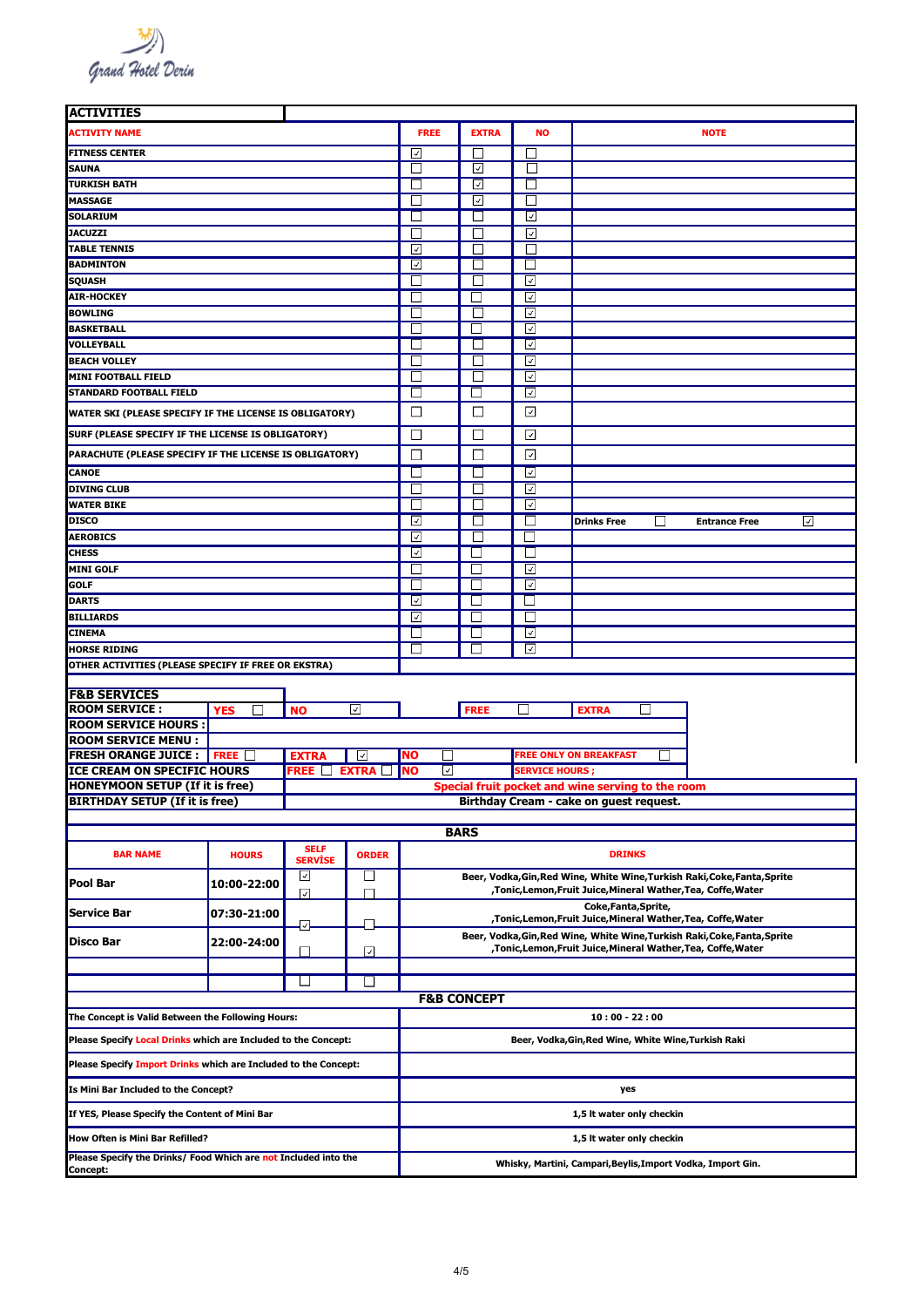Grand Hotel Derin

| <b>ACTIVITIES</b>                                                           |                          |                                             |               |                                                                   |                        |                         |                                                                                                                                             |                           |  |  |
|-----------------------------------------------------------------------------|--------------------------|---------------------------------------------|---------------|-------------------------------------------------------------------|------------------------|-------------------------|---------------------------------------------------------------------------------------------------------------------------------------------|---------------------------|--|--|
| <b>ACTIVITY NAME</b>                                                        |                          |                                             |               | <b>FREE</b>                                                       | <b>EXTRA</b>           | <b>NO</b>               |                                                                                                                                             | <b>NOTE</b>               |  |  |
| <b>FITNESS CENTER</b>                                                       |                          |                                             |               | ☑                                                                 | $\Box$                 | $\mathsf{L}$            |                                                                                                                                             |                           |  |  |
| <b>SAUNA</b>                                                                |                          |                                             |               | П                                                                 | ☑                      | П                       |                                                                                                                                             |                           |  |  |
| <b>TURKISH BATH</b>                                                         |                          |                                             |               | $\vert \ \ \vert$                                                 | ⊡                      | $\Box$                  |                                                                                                                                             |                           |  |  |
| <b>MASSAGE</b>                                                              |                          |                                             |               | ⊔                                                                 | ☑                      | ப                       |                                                                                                                                             |                           |  |  |
| <b>SOLARIUM</b>                                                             |                          |                                             |               | $\Box$                                                            | □                      | ⊡                       |                                                                                                                                             |                           |  |  |
| <b>JACUZZI</b>                                                              |                          |                                             |               | $\vert \ \ \vert$                                                 | П                      | ⊡                       |                                                                                                                                             |                           |  |  |
| <b>TABLE TENNIS</b>                                                         |                          |                                             |               | ☑                                                                 | □                      | П                       |                                                                                                                                             |                           |  |  |
| <b>BADMINTON</b>                                                            |                          |                                             |               | ☑                                                                 | $\mathsf{L}$           |                         |                                                                                                                                             |                           |  |  |
| <b>SQUASH</b>                                                               |                          |                                             |               | П                                                                 | $\perp$                | ⊡                       |                                                                                                                                             |                           |  |  |
| <b>AIR-HOCKEY</b>                                                           |                          |                                             |               | П                                                                 |                        | ⊡                       |                                                                                                                                             |                           |  |  |
| <b>BOWLING</b>                                                              |                          |                                             |               | $\mathsf{L}$                                                      | $\Box$                 | $ \mathcal{A} $         |                                                                                                                                             |                           |  |  |
| <b>BASKETBALL</b>                                                           |                          |                                             |               |                                                                   |                        | ⊡                       |                                                                                                                                             |                           |  |  |
| <b>VOLLEYBALL</b>                                                           |                          |                                             |               | $\vert \ \ \vert$                                                 | $\Box$                 | ⊻                       |                                                                                                                                             |                           |  |  |
| <b>BEACH VOLLEY</b>                                                         |                          |                                             |               | ⊔                                                                 | ⊔                      | ☑                       |                                                                                                                                             |                           |  |  |
| MINI FOOTBALL FIELD                                                         |                          |                                             |               | $\Box$                                                            | ⊔                      | ☑                       |                                                                                                                                             |                           |  |  |
| <b>STANDARD FOOTBALL FIELD</b>                                              |                          |                                             |               | П                                                                 |                        | ☑                       |                                                                                                                                             |                           |  |  |
|                                                                             |                          |                                             |               |                                                                   |                        |                         |                                                                                                                                             |                           |  |  |
| WATER SKI (PLEASE SPECIFY IF THE LICENSE IS OBLIGATORY)                     |                          |                                             |               | □                                                                 | $\Box$                 | ⊡                       |                                                                                                                                             |                           |  |  |
| SURF (PLEASE SPECIFY IF THE LICENSE IS OBLIGATORY)                          |                          |                                             |               | □                                                                 | □                      | ⊡                       |                                                                                                                                             |                           |  |  |
| PARACHUTE (PLEASE SPECIFY IF THE LICENSE IS OBLIGATORY)                     |                          |                                             |               | П                                                                 | П                      | ाज                      |                                                                                                                                             |                           |  |  |
| <b>CANOE</b>                                                                |                          |                                             |               | $\vert \ \ \vert$                                                 | □                      | $\overline{\checkmark}$ |                                                                                                                                             |                           |  |  |
| <b>DIVING CLUB</b>                                                          |                          |                                             |               |                                                                   |                        | ⊻                       |                                                                                                                                             |                           |  |  |
| <b>WATER BIKE</b>                                                           |                          | $\vert \ \ \vert$                           | ⊔             | ☑                                                                 |                        |                         |                                                                                                                                             |                           |  |  |
| <b>DISCO</b>                                                                |                          |                                             |               | ⊡                                                                 | ⊔                      |                         | <b>Drinks Free</b><br>- 1                                                                                                                   | ☑<br><b>Entrance Free</b> |  |  |
| <b>AEROBICS</b>                                                             |                          |                                             |               | ⊡                                                                 | $\perp$                | $\Box$                  |                                                                                                                                             |                           |  |  |
| <b>CHESS</b>                                                                | ⊡                        |                                             |               |                                                                   |                        |                         |                                                                                                                                             |                           |  |  |
| <b>MINI GOLF</b>                                                            | П                        | $\mathbf{L}$                                | ⊡             |                                                                   |                        |                         |                                                                                                                                             |                           |  |  |
| <b>GOLF</b>                                                                 |                          |                                             | ⊡             |                                                                   |                        |                         |                                                                                                                                             |                           |  |  |
| <b>DARTS</b>                                                                | $\overline{\mathcal{S}}$ | $\Box$                                      | $\Box$        |                                                                   |                        |                         |                                                                                                                                             |                           |  |  |
| <b>BILLIARDS</b>                                                            |                          | ☑                                           |               |                                                                   |                        |                         |                                                                                                                                             |                           |  |  |
| <b>CINEMA</b>                                                               |                          |                                             |               | ⊔                                                                 | $\Box$                 | ⊻                       |                                                                                                                                             |                           |  |  |
| <b>HORSE RIDING</b>                                                         | П                        |                                             | ⊡             |                                                                   |                        |                         |                                                                                                                                             |                           |  |  |
| OTHER ACTIVITIES (PLEASE SPECIFY IF FREE OR EKSTRA)                         |                          |                                             |               |                                                                   |                        |                         |                                                                                                                                             |                           |  |  |
|                                                                             |                          |                                             |               |                                                                   |                        |                         |                                                                                                                                             |                           |  |  |
| <b>F&amp;B SERVICES</b>                                                     |                          |                                             |               |                                                                   |                        |                         |                                                                                                                                             |                           |  |  |
| <b>ROOM SERVICE:</b>                                                        | <b>YES</b>               | <b>NO</b>                                   | ⊻             |                                                                   | <b>FREE</b>            |                         | <b>EXTRA</b>                                                                                                                                |                           |  |  |
| <b>ROOM SERVICE HOURS:</b>                                                  |                          |                                             |               |                                                                   |                        |                         |                                                                                                                                             |                           |  |  |
| <b>ROOM SERVICE MENU:</b><br><b>FRESH ORANGE JUICE :</b>                    |                          |                                             | ⊥⊻            | $\mathsf{L}$                                                      |                        |                         |                                                                                                                                             |                           |  |  |
| ICE CREAM ON SPECIFIC HOURS                                                 | FREE $\Box$              | <b>EXTRA</b><br>FREE $\Box$ Extra $\Box$ No |               | <b>FREE ONLY ON BREAKFAST</b><br>NO<br>☑<br><b>SERVICE HOURS;</b> |                        |                         |                                                                                                                                             |                           |  |  |
| <b>HONEYMOON SETUP (If it is free)</b>                                      |                          |                                             |               | Special fruit pocket and wine serving to the room                 |                        |                         |                                                                                                                                             |                           |  |  |
| <b>BIRTHDAY SETUP (If it is free)</b>                                       |                          |                                             |               |                                                                   |                        |                         | Birthday Cream - cake on guest request.                                                                                                     |                           |  |  |
|                                                                             |                          |                                             |               |                                                                   |                        |                         |                                                                                                                                             |                           |  |  |
|                                                                             |                          |                                             |               |                                                                   | <b>BARS</b>            |                         |                                                                                                                                             |                           |  |  |
| <b>BAR NAME</b>                                                             | <b>HOURS</b>             | <b>SELF</b><br><b>SERVISE</b>               | <b>ORDER</b>  |                                                                   |                        |                         | <b>DRINKS</b>                                                                                                                               |                           |  |  |
| Pool Bar                                                                    | 10:00-22:00              | ⊻                                           | ⊔             |                                                                   |                        |                         | Beer, Vodka, Gin, Red Wine, White Wine, Turkish Raki, Coke, Fanta, Sprite                                                                   |                           |  |  |
|                                                                             |                          | $\sqrt{}$                                   | $\mathsf{I}$  |                                                                   |                        |                         | , Tonic, Lemon, Fruit Juice, Mineral Wather, Tea, Coffe, Water<br>Coke, Fanta, Sprite,                                                      |                           |  |  |
| <b>Service Bar</b>                                                          | 07:30-21:00              | ⊡                                           |               |                                                                   |                        |                         | , Tonic, Lemon, Fruit Juice, Mineral Wather, Tea, Coffe, Water                                                                              |                           |  |  |
| Disco Bar                                                                   | 22:00-24:00              |                                             | ⊡             |                                                                   |                        |                         | Beer, Vodka, Gin, Red Wine, White Wine, Turkish Raki, Coke, Fanta, Sprite<br>, Tonic, Lemon, Fruit Juice, Mineral Wather, Tea, Coffe, Water |                           |  |  |
|                                                                             |                          |                                             |               |                                                                   |                        |                         |                                                                                                                                             |                           |  |  |
|                                                                             |                          | - 1                                         | $\mathcal{L}$ |                                                                   |                        |                         |                                                                                                                                             |                           |  |  |
|                                                                             |                          |                                             |               |                                                                   | <b>F&amp;B CONCEPT</b> |                         |                                                                                                                                             |                           |  |  |
| The Concept is Valid Between the Following Hours:                           |                          |                                             |               |                                                                   |                        |                         | $10:00 - 22:00$                                                                                                                             |                           |  |  |
| Please Specify Local Drinks which are Included to the Concept:              |                          |                                             |               |                                                                   |                        |                         | Beer, Vodka, Gin, Red Wine, White Wine, Turkish Raki                                                                                        |                           |  |  |
| Please Specify Import Drinks which are Included to the Concept:             |                          |                                             |               |                                                                   |                        |                         |                                                                                                                                             |                           |  |  |
| Is Mini Bar Included to the Concept?                                        |                          |                                             |               |                                                                   |                        |                         | yes                                                                                                                                         |                           |  |  |
| If YES, Please Specify the Content of Mini Bar                              |                          |                                             |               |                                                                   |                        |                         | 1,5 It water only checkin                                                                                                                   |                           |  |  |
| How Often is Mini Bar Refilled?                                             |                          |                                             |               |                                                                   |                        |                         | 1,5 It water only checkin                                                                                                                   |                           |  |  |
| Please Specify the Drinks/ Food Which are not Included into the<br>Concept: |                          |                                             |               | Whisky, Martini, Campari,Beylis,Import Vodka, Import Gin.         |                        |                         |                                                                                                                                             |                           |  |  |